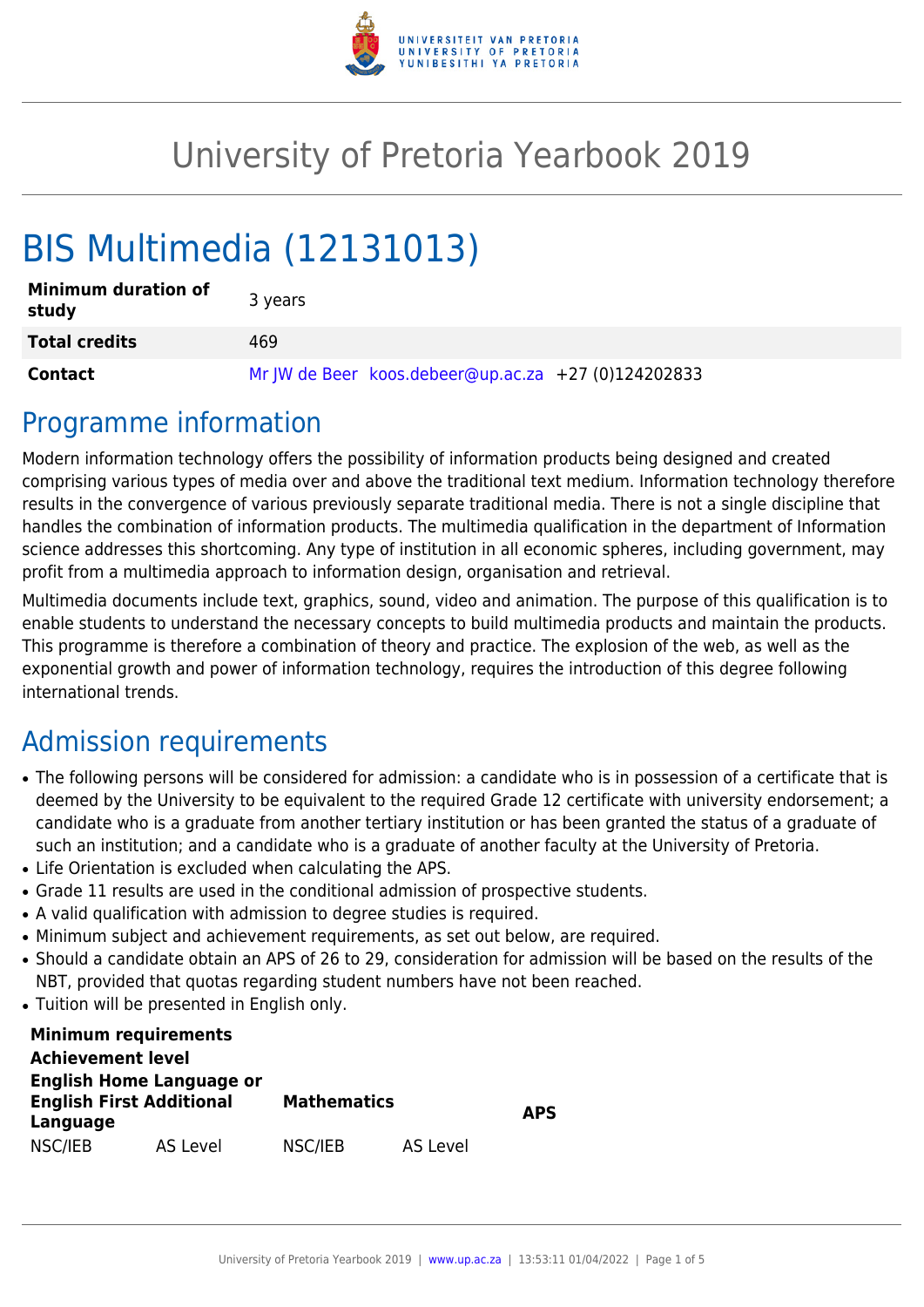

## University of Pretoria Yearbook 2019

# BIS Multimedia (12131013)

| <b>Minimum duration of</b><br>study | 3 years                                             |
|-------------------------------------|-----------------------------------------------------|
| <b>Total credits</b>                | 469                                                 |
| <b>Contact</b>                      | Mr JW de Beer koos.debeer@up.ac.za +27 (0)124202833 |

### Programme information

Modern information technology offers the possibility of information products being designed and created comprising various types of media over and above the traditional text medium. Information technology therefore results in the convergence of various previously separate traditional media. There is not a single discipline that handles the combination of information products. The multimedia qualification in the department of Information science addresses this shortcoming. Any type of institution in all economic spheres, including government, may profit from a multimedia approach to information design, organisation and retrieval.

Multimedia documents include text, graphics, sound, video and animation. The purpose of this qualification is to enable students to understand the necessary concepts to build multimedia products and maintain the products. This programme is therefore a combination of theory and practice. The explosion of the web, as well as the exponential growth and power of information technology, requires the introduction of this degree following international trends.

## Admission requirements

- The following persons will be considered for admission: a candidate who is in possession of a certificate that is deemed by the University to be equivalent to the required Grade 12 certificate with university endorsement; a candidate who is a graduate from another tertiary institution or has been granted the status of a graduate of such an institution; and a candidate who is a graduate of another faculty at the University of Pretoria.
- Life Orientation is excluded when calculating the APS.
- Grade 11 results are used in the conditional admission of prospective students.
- A valid qualification with admission to degree studies is required.
- Minimum subject and achievement requirements, as set out below, are required.
- Should a candidate obtain an APS of 26 to 29, consideration for admission will be based on the results of the NBT, provided that quotas regarding student numbers have not been reached.
- Tuition will be presented in English only.

| <b>Minimum requirements</b>     |          |                    |          |            |  |
|---------------------------------|----------|--------------------|----------|------------|--|
| <b>Achievement level</b>        |          |                    |          |            |  |
| <b>English Home Language or</b> |          |                    |          |            |  |
| <b>English First Additional</b> |          | <b>Mathematics</b> |          | <b>APS</b> |  |
| Language                        |          |                    |          |            |  |
| NSC/IEB                         | AS Level | NSC/IEB            | AS Level |            |  |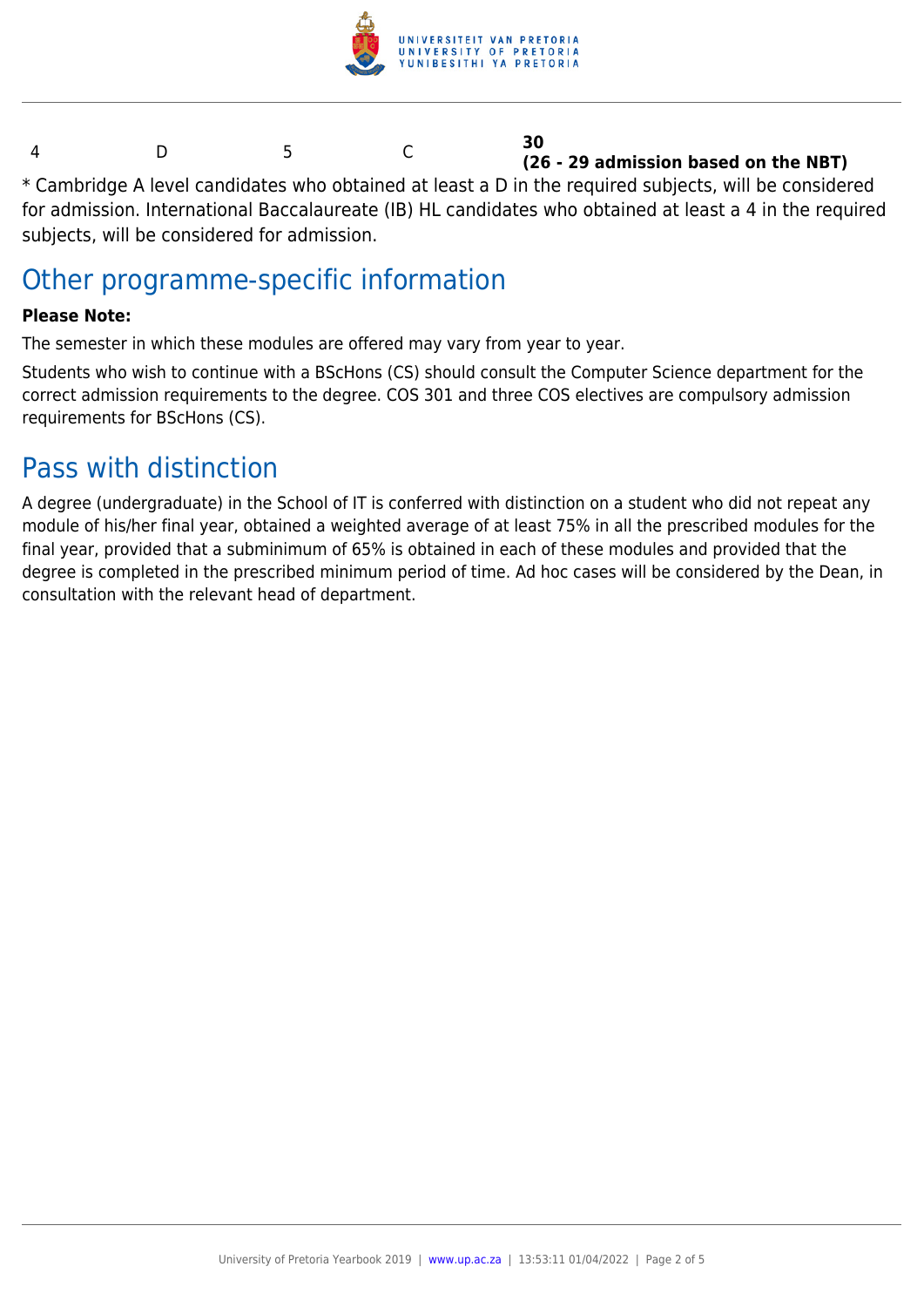

#### 4 D 5 C **30 (26 - 29 admission based on the NBT)**

\* Cambridge A level candidates who obtained at least a D in the required subjects, will be considered for admission. International Baccalaureate (IB) HL candidates who obtained at least a 4 in the required subjects, will be considered for admission.

### Other programme-specific information

#### **Please Note:**

The semester in which these modules are offered may vary from year to year.

Students who wish to continue with a BScHons (CS) should consult the Computer Science department for the correct admission requirements to the degree. COS 301 and three COS electives are compulsory admission requirements for BScHons (CS).

### Pass with distinction

A degree (undergraduate) in the School of IT is conferred with distinction on a student who did not repeat any module of his/her final year, obtained a weighted average of at least 75% in all the prescribed modules for the final year, provided that a subminimum of 65% is obtained in each of these modules and provided that the degree is completed in the prescribed minimum period of time. Ad hoc cases will be considered by the Dean, in consultation with the relevant head of department.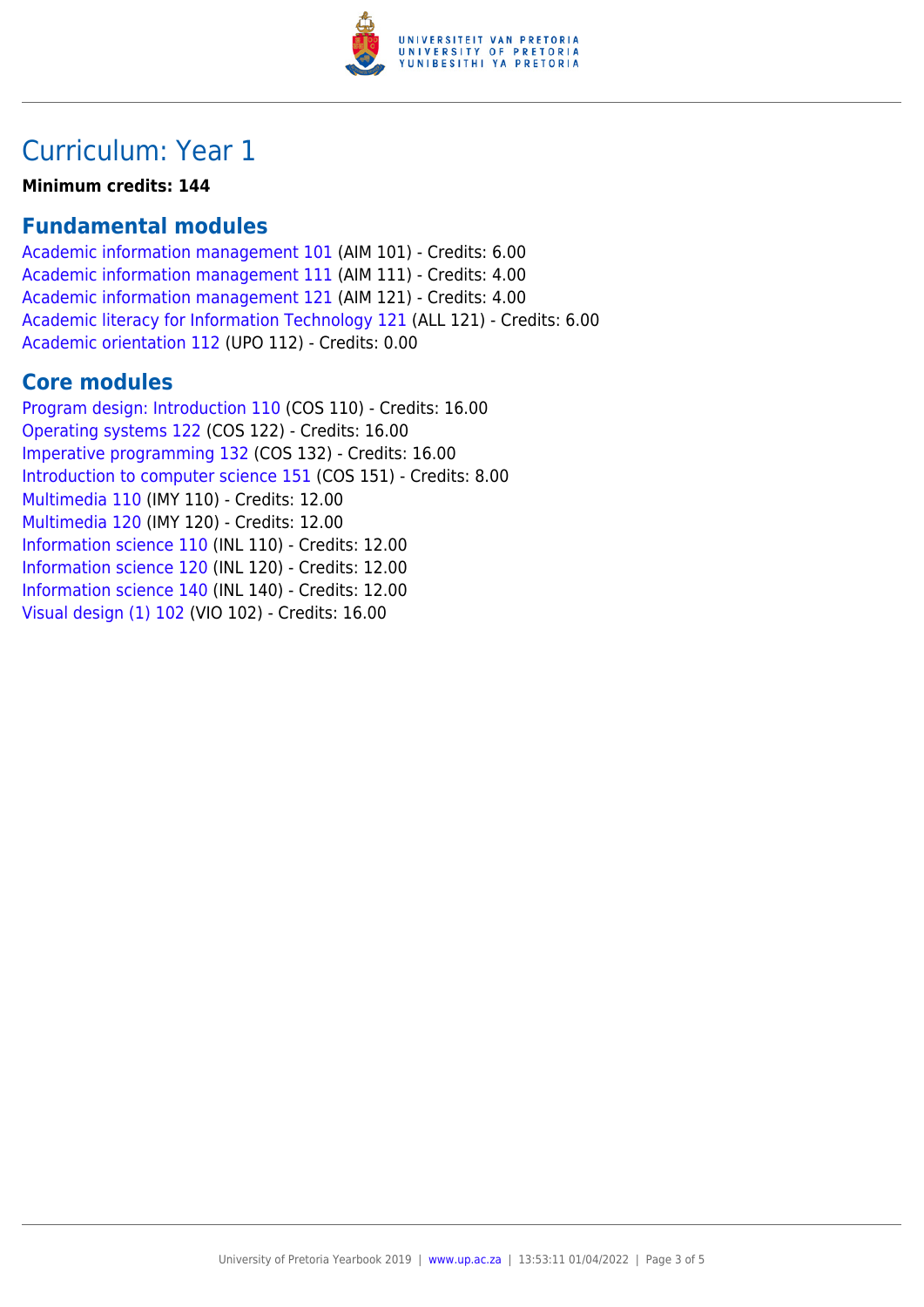

### Curriculum: Year 1

**Minimum credits: 144**

### **Fundamental modules**

[Academic information management 101](https://www.up.ac.za/yearbooks/2019/modules/view/AIM 101) (AIM 101) - Credits: 6.00 [Academic information management 111](https://www.up.ac.za/yearbooks/2019/modules/view/AIM 111) (AIM 111) - Credits: 4.00 [Academic information management 121](https://www.up.ac.za/yearbooks/2019/modules/view/AIM 121) (AIM 121) - Credits: 4.00 [Academic literacy for Information Technology 121](https://www.up.ac.za/yearbooks/2019/modules/view/ALL 121) (ALL 121) - Credits: 6.00 [Academic orientation 112](https://www.up.ac.za/yearbooks/2019/modules/view/UPO 112) (UPO 112) - Credits: 0.00

#### **Core modules**

[Program design: Introduction 110](https://www.up.ac.za/yearbooks/2019/modules/view/COS 110) (COS 110) - Credits: 16.00 [Operating systems 122](https://www.up.ac.za/yearbooks/2019/modules/view/COS 122) (COS 122) - Credits: 16.00 [Imperative programming 132](https://www.up.ac.za/yearbooks/2019/modules/view/COS 132) (COS 132) - Credits: 16.00 [Introduction to computer science 151](https://www.up.ac.za/yearbooks/2019/modules/view/COS 151) (COS 151) - Credits: 8.00 [Multimedia 110](https://www.up.ac.za/yearbooks/2019/modules/view/IMY 110) (IMY 110) - Credits: 12.00 [Multimedia 120](https://www.up.ac.za/yearbooks/2019/modules/view/IMY 120) (IMY 120) - Credits: 12.00 [Information science 110](https://www.up.ac.za/yearbooks/2019/modules/view/INL 110) (INL 110) - Credits: 12.00 [Information science 120](https://www.up.ac.za/yearbooks/2019/modules/view/INL 120) (INL 120) - Credits: 12.00 [Information science 140](https://www.up.ac.za/yearbooks/2019/modules/view/INL 140) (INL 140) - Credits: 12.00 [Visual design \(1\) 102](https://www.up.ac.za/yearbooks/2019/modules/view/VIO 102) (VIO 102) - Credits: 16.00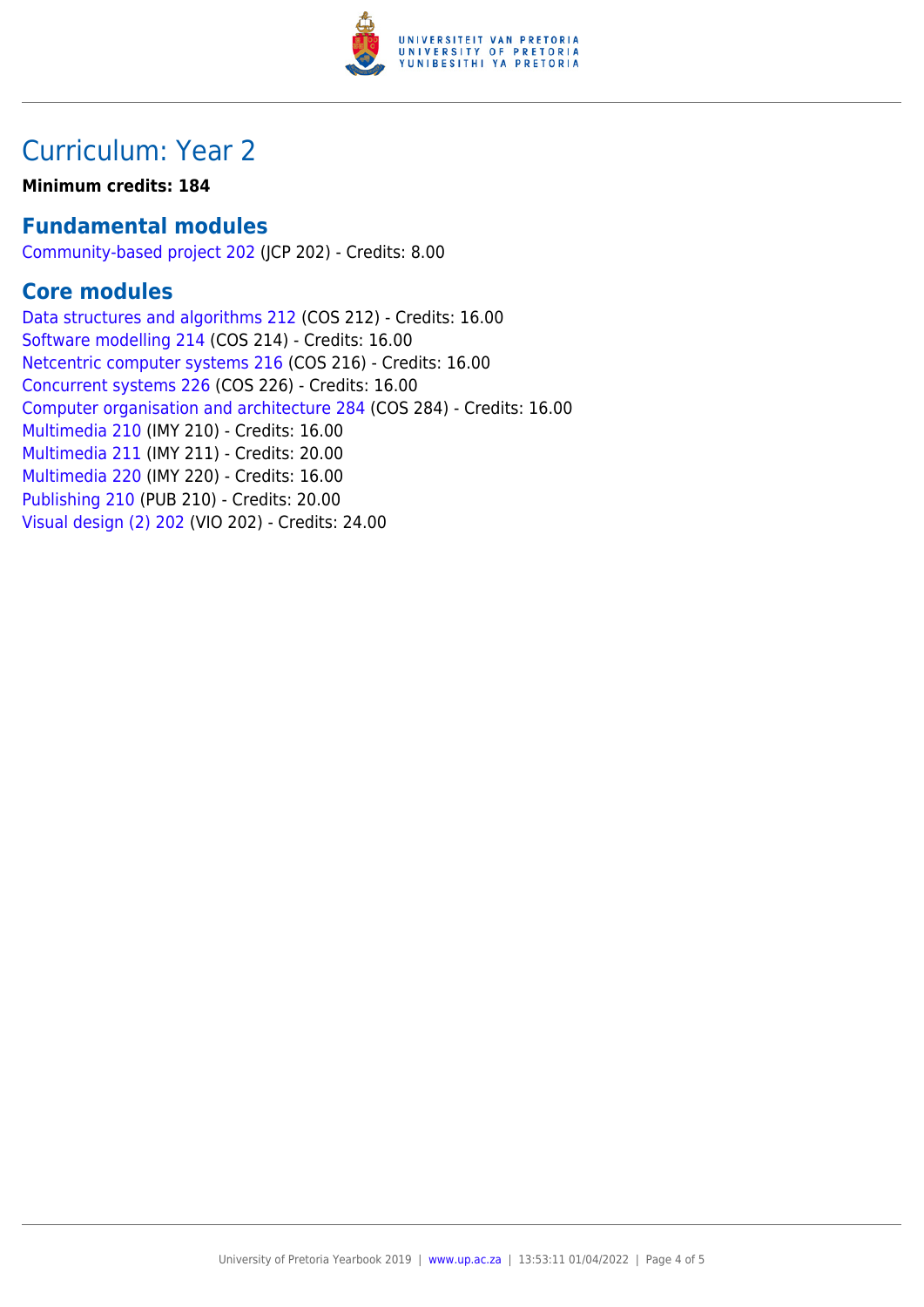

### Curriculum: Year 2

#### **Minimum credits: 184**

### **Fundamental modules**

[Community-based project 202](https://www.up.ac.za/yearbooks/2019/modules/view/JCP 202) (JCP 202) - Credits: 8.00

### **Core modules**

[Data structures and algorithms 212](https://www.up.ac.za/yearbooks/2019/modules/view/COS 212) (COS 212) - Credits: 16.00 [Software modelling 214](https://www.up.ac.za/yearbooks/2019/modules/view/COS 214) (COS 214) - Credits: 16.00 [Netcentric computer systems 216](https://www.up.ac.za/yearbooks/2019/modules/view/COS 216) (COS 216) - Credits: 16.00 [Concurrent systems 226](https://www.up.ac.za/yearbooks/2019/modules/view/COS 226) (COS 226) - Credits: 16.00 [Computer organisation and architecture 284](https://www.up.ac.za/yearbooks/2019/modules/view/COS 284) (COS 284) - Credits: 16.00 [Multimedia 210](https://www.up.ac.za/yearbooks/2019/modules/view/IMY 210) (IMY 210) - Credits: 16.00 [Multimedia 211](https://www.up.ac.za/yearbooks/2019/modules/view/IMY 211) (IMY 211) - Credits: 20.00 [Multimedia 220](https://www.up.ac.za/yearbooks/2019/modules/view/IMY 220) (IMY 220) - Credits: 16.00 [Publishing 210](https://www.up.ac.za/yearbooks/2019/modules/view/PUB 210) (PUB 210) - Credits: 20.00 [Visual design \(2\) 202](https://www.up.ac.za/yearbooks/2019/modules/view/VIO 202) (VIO 202) - Credits: 24.00